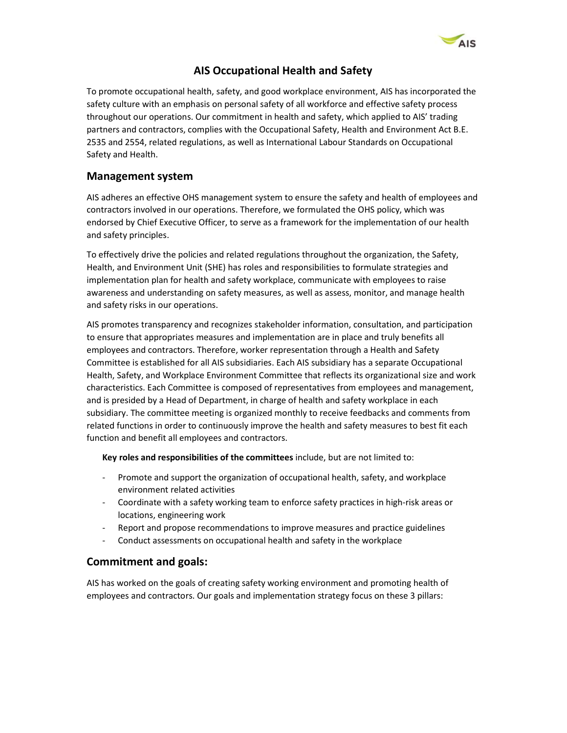

# AIS Occupational Health and Safety

To promote occupational health, safety, and good workplace environment, AIS has incorporated the safety culture with an emphasis on personal safety of all workforce and effective safety process throughout our operations. Our commitment in health and safety, which applied to AIS' trading partners and contractors, complies with the Occupational Safety, Health and Environment Act B.E. 2535 and 2554, related regulations, as well as International Labour Standards on Occupational Safety and Health.

# Management system

AIS adheres an effective OHS management system to ensure the safety and health of employees and contractors involved in our operations. Therefore, we formulated the OHS policy, which was endorsed by Chief Executive Officer, to serve as a framework for the implementation of our health and safety principles.

To effectively drive the policies and related regulations throughout the organization, the Safety, Health, and Environment Unit (SHE) has roles and responsibilities to formulate strategies and implementation plan for health and safety workplace, communicate with employees to raise awareness and understanding on safety measures, as well as assess, monitor, and manage health and safety risks in our operations.

AIS promotes transparency and recognizes stakeholder information, consultation, and participation to ensure that appropriates measures and implementation are in place and truly benefits all employees and contractors. Therefore, worker representation through a Health and Safety Committee is established for all AIS subsidiaries. Each AIS subsidiary has a separate Occupational Health, Safety, and Workplace Environment Committee that reflects its organizational size and work characteristics. Each Committee is composed of representatives from employees and management, and is presided by a Head of Department, in charge of health and safety workplace in each subsidiary. The committee meeting is organized monthly to receive feedbacks and comments from related functions in order to continuously improve the health and safety measures to best fit each function and benefit all employees and contractors.

Key roles and responsibilities of the committees include, but are not limited to:

- Promote and support the organization of occupational health, safety, and workplace environment related activities
- Coordinate with a safety working team to enforce safety practices in high-risk areas or locations, engineering work
- Report and propose recommendations to improve measures and practice guidelines
- Conduct assessments on occupational health and safety in the workplace

## Commitment and goals:

AIS has worked on the goals of creating safety working environment and promoting health of employees and contractors. Our goals and implementation strategy focus on these 3 pillars: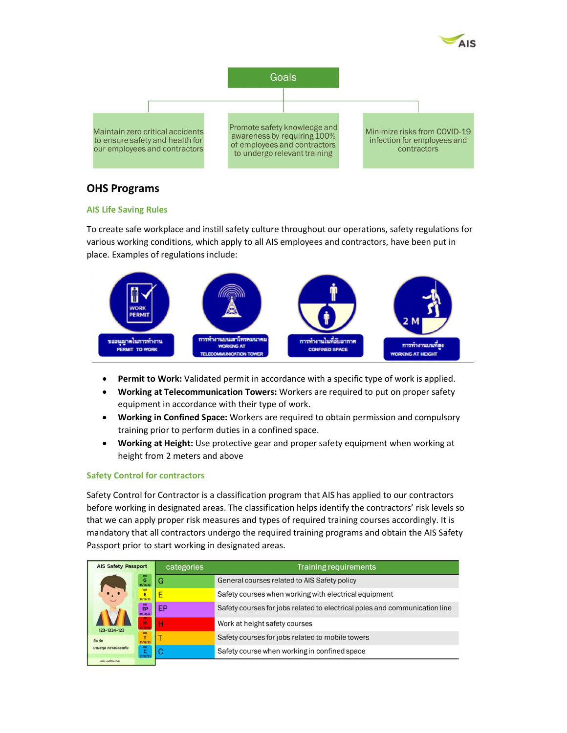



# OHS Programs

#### AIS Life Saving Rules

To create safe workplace and instill safety culture throughout our operations, safety regulations for various working conditions, which apply to all AIS employees and contractors, have been put in place. Examples of regulations include:



- Permit to Work: Validated permit in accordance with a specific type of work is applied.
- Working at Telecommunication Towers: Workers are required to put on proper safety equipment in accordance with their type of work.
- Working in Confined Space: Workers are required to obtain permission and compulsory training prior to perform duties in a confined space.
- Working at Height: Use protective gear and proper safety equipment when working at height from 2 meters and above

### Safety Control for contractors

Safety Control for Contractor is a classification program that AIS has applied to our contractors before working in designated areas. The classification helps identify the contractors' risk levels so that we can apply proper risk measures and types of required training courses accordingly. It is mandatory that all contractors undergo the required training programs and obtain the AIS Safety Passport prior to start working in designated areas.

| <b>AIS Safety Passport</b>         | categories | <b>Training requirements</b>                                               |  |  |  |
|------------------------------------|------------|----------------------------------------------------------------------------|--|--|--|
| G<br>31/12/22                      | G          | General courses related to AIS Safety policy                               |  |  |  |
| on<br>Ē<br>31/12/22                |            | Safety courses when working with electrical equipment                      |  |  |  |
| EP<br>31/12/22                     | EР         | Safety courses for jobs related to electrical poles and communication line |  |  |  |
| н<br><b>Grazie</b><br>123-1234-123 |            | Work at height safety courses                                              |  |  |  |
| 먶<br>ชื่อ รัก<br>31/12/22          |            | Safety courses for jobs related to mobile towers                           |  |  |  |
| นามสกุล ความปลอดภัย<br>31/12/22    |            | Safety course when working in confined space                               |  |  |  |
| while would be done                |            |                                                                            |  |  |  |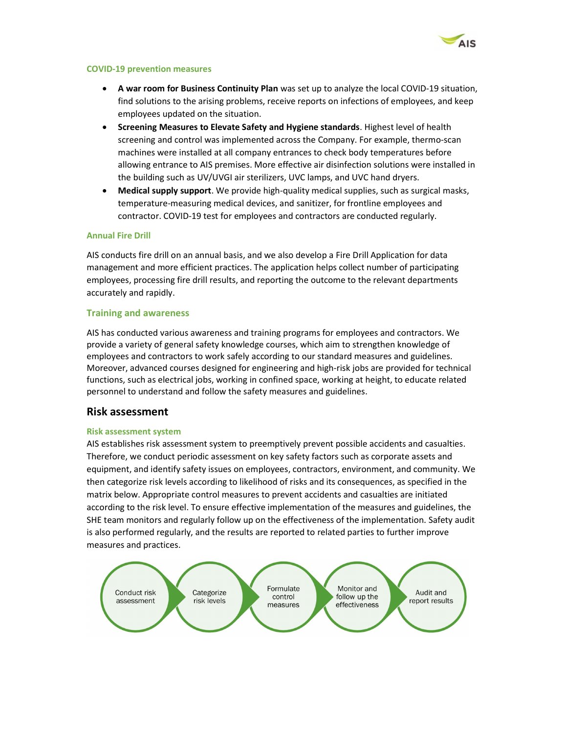

#### COVID-19 prevention measures

- A war room for Business Continuity Plan was set up to analyze the local COVID-19 situation, find solutions to the arising problems, receive reports on infections of employees, and keep employees updated on the situation.
- **Screening Measures to Elevate Safety and Hygiene standards**. Highest level of health screening and control was implemented across the Company. For example, thermo-scan machines were installed at all company entrances to check body temperatures before allowing entrance to AIS premises. More effective air disinfection solutions were installed in the building such as UV/UVGI air sterilizers, UVC lamps, and UVC hand dryers.
- Medical supply support. We provide high-quality medical supplies, such as surgical masks, temperature-measuring medical devices, and sanitizer, for frontline employees and contractor. COVID-19 test for employees and contractors are conducted regularly.

#### Annual Fire Drill

AIS conducts fire drill on an annual basis, and we also develop a Fire Drill Application for data management and more efficient practices. The application helps collect number of participating employees, processing fire drill results, and reporting the outcome to the relevant departments accurately and rapidly.

#### Training and awareness

AIS has conducted various awareness and training programs for employees and contractors. We provide a variety of general safety knowledge courses, which aim to strengthen knowledge of employees and contractors to work safely according to our standard measures and guidelines. Moreover, advanced courses designed for engineering and high-risk jobs are provided for technical functions, such as electrical jobs, working in confined space, working at height, to educate related personnel to understand and follow the safety measures and guidelines.

### Risk assessment

#### Risk assessment system

AIS establishes risk assessment system to preemptively prevent possible accidents and casualties. Therefore, we conduct periodic assessment on key safety factors such as corporate assets and equipment, and identify safety issues on employees, contractors, environment, and community. We then categorize risk levels according to likelihood of risks and its consequences, as specified in the matrix below. Appropriate control measures to prevent accidents and casualties are initiated according to the risk level. To ensure effective implementation of the measures and guidelines, the SHE team monitors and regularly follow up on the effectiveness of the implementation. Safety audit is also performed regularly, and the results are reported to related parties to further improve measures and practices.